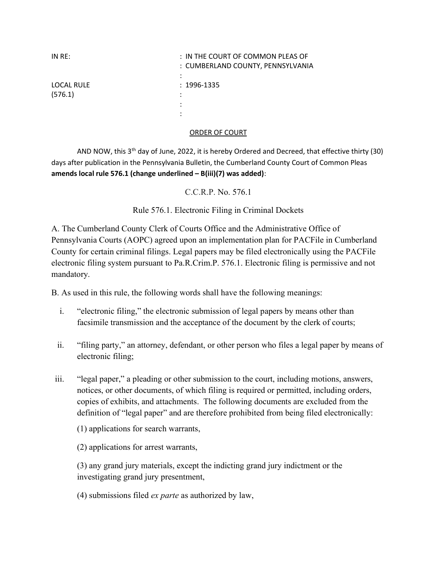| IN RE:                       | : IN THE COURT OF COMMON PLEAS OF<br>: CUMBERLAND COUNTY, PENNSYLVANIA |
|------------------------------|------------------------------------------------------------------------|
| <b>LOCAL RULE</b><br>(576.1) | $: 1996 - 1335$<br>٠<br>٠<br>٠                                         |

## ORDER OF COURT

AND NOW, this  $3<sup>th</sup>$  day of June, 2022, it is hereby Ordered and Decreed, that effective thirty (30) days after publication in the Pennsylvania Bulletin, the Cumberland County Court of Common Pleas amends local rule 576.1 (change underlined  $- B(iii)(7)$  was added):

C.C.R.P. No. 576.1

Rule 576.1. Electronic Filing in Criminal Dockets

A. The Cumberland County Clerk of Courts Office and the Administrative Office of Pennsylvania Courts (AOPC) agreed upon an implementation plan for PACFile in Cumberland County for certain criminal filings. Legal papers may be filed electronically using the PACFile electronic filing system pursuant to Pa.R.Crim.P. 576.1. Electronic filing is permissive and not mandatory.

B. As used in this rule, the following words shall have the following meanings:

- i. "electronic filing," the electronic submission of legal papers by means other than facsimile transmission and the acceptance of the document by the clerk of courts;
- ii. "filing party," an attorney, defendant, or other person who files a legal paper by means of electronic filing;
- iii. "legal paper," a pleading or other submission to the court, including motions, answers, notices, or other documents, of which filing is required or permitted, including orders, copies of exhibits, and attachments. The following documents are excluded from the definition of "legal paper" and are therefore prohibited from being filed electronically:
	- (1) applications for search warrants,

(2) applications for arrest warrants,

(3) any grand jury materials, except the indicting grand jury indictment or the investigating grand jury presentment,

(4) submissions filed ex parte as authorized by law,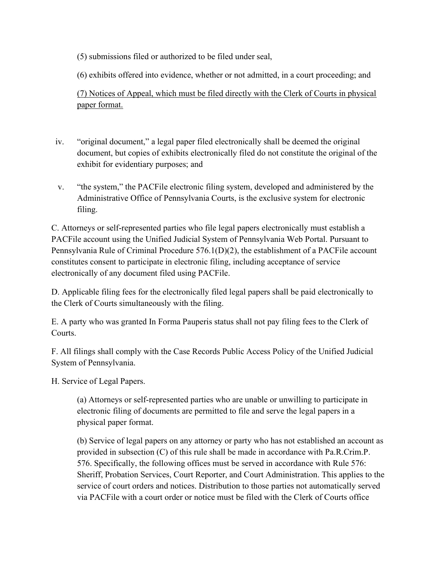(5) submissions filed or authorized to be filed under seal,

(6) exhibits offered into evidence, whether or not admitted, in a court proceeding; and

(7) Notices of Appeal, which must be filed directly with the Clerk of Courts in physical paper format.

- iv. "original document," a legal paper filed electronically shall be deemed the original document, but copies of exhibits electronically filed do not constitute the original of the exhibit for evidentiary purposes; and
- v. "the system," the PACFile electronic filing system, developed and administered by the Administrative Office of Pennsylvania Courts, is the exclusive system for electronic filing.

C. Attorneys or self-represented parties who file legal papers electronically must establish a PACFile account using the Unified Judicial System of Pennsylvania Web Portal. Pursuant to Pennsylvania Rule of Criminal Procedure 576.1(D)(2), the establishment of a PACFile account constitutes consent to participate in electronic filing, including acceptance of service electronically of any document filed using PACFile.

D. Applicable filing fees for the electronically filed legal papers shall be paid electronically to the Clerk of Courts simultaneously with the filing.

E. A party who was granted In Forma Pauperis status shall not pay filing fees to the Clerk of Courts.

F. All filings shall comply with the Case Records Public Access Policy of the Unified Judicial System of Pennsylvania.

H. Service of Legal Papers.

(a) Attorneys or self-represented parties who are unable or unwilling to participate in electronic filing of documents are permitted to file and serve the legal papers in a physical paper format.

(b) Service of legal papers on any attorney or party who has not established an account as provided in subsection (C) of this rule shall be made in accordance with Pa.R.Crim.P. 576. Specifically, the following offices must be served in accordance with Rule 576: Sheriff, Probation Services, Court Reporter, and Court Administration. This applies to the service of court orders and notices. Distribution to those parties not automatically served via PACFile with a court order or notice must be filed with the Clerk of Courts office